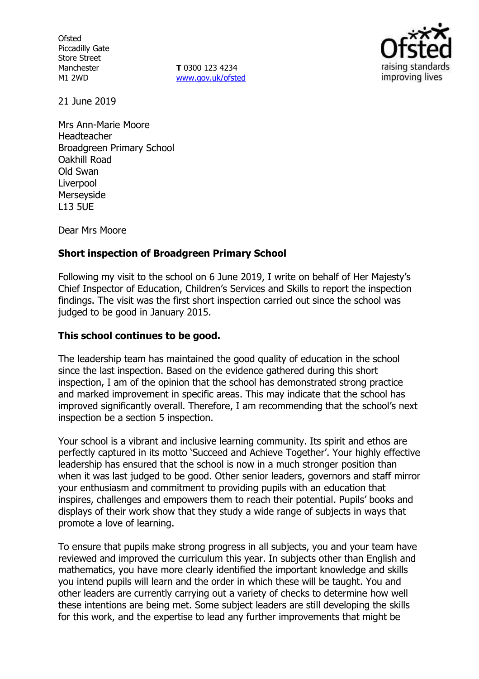**Ofsted** Piccadilly Gate Store Street Manchester M1 2WD

**T** 0300 123 4234 www.gov.uk/ofsted



21 June 2019

Mrs Ann-Marie Moore Headteacher Broadgreen Primary School Oakhill Road Old Swan **Liverpool** Merseyside L13 5UE

Dear Mrs Moore

## **Short inspection of Broadgreen Primary School**

Following my visit to the school on 6 June 2019, I write on behalf of Her Majesty's Chief Inspector of Education, Children's Services and Skills to report the inspection findings. The visit was the first short inspection carried out since the school was judged to be good in January 2015.

## **This school continues to be good.**

The leadership team has maintained the good quality of education in the school since the last inspection. Based on the evidence gathered during this short inspection, I am of the opinion that the school has demonstrated strong practice and marked improvement in specific areas. This may indicate that the school has improved significantly overall. Therefore, I am recommending that the school's next inspection be a section 5 inspection.

Your school is a vibrant and inclusive learning community. Its spirit and ethos are perfectly captured in its motto 'Succeed and Achieve Together'. Your highly effective leadership has ensured that the school is now in a much stronger position than when it was last judged to be good. Other senior leaders, governors and staff mirror your enthusiasm and commitment to providing pupils with an education that inspires, challenges and empowers them to reach their potential. Pupils' books and displays of their work show that they study a wide range of subjects in ways that promote a love of learning.

To ensure that pupils make strong progress in all subjects, you and your team have reviewed and improved the curriculum this year. In subjects other than English and mathematics, you have more clearly identified the important knowledge and skills you intend pupils will learn and the order in which these will be taught. You and other leaders are currently carrying out a variety of checks to determine how well these intentions are being met. Some subject leaders are still developing the skills for this work, and the expertise to lead any further improvements that might be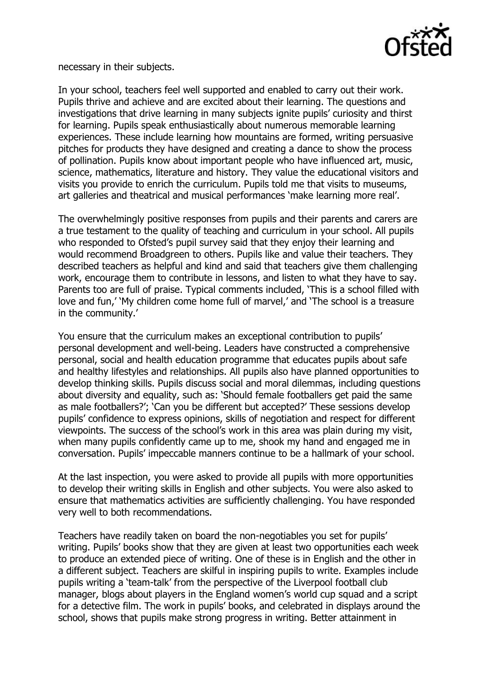

necessary in their subjects.

In your school, teachers feel well supported and enabled to carry out their work. Pupils thrive and achieve and are excited about their learning. The questions and investigations that drive learning in many subjects ignite pupils' curiosity and thirst for learning. Pupils speak enthusiastically about numerous memorable learning experiences. These include learning how mountains are formed, writing persuasive pitches for products they have designed and creating a dance to show the process of pollination. Pupils know about important people who have influenced art, music, science, mathematics, literature and history. They value the educational visitors and visits you provide to enrich the curriculum. Pupils told me that visits to museums, art galleries and theatrical and musical performances 'make learning more real'.

The overwhelmingly positive responses from pupils and their parents and carers are a true testament to the quality of teaching and curriculum in your school. All pupils who responded to Ofsted's pupil survey said that they enjoy their learning and would recommend Broadgreen to others. Pupils like and value their teachers. They described teachers as helpful and kind and said that teachers give them challenging work, encourage them to contribute in lessons, and listen to what they have to say. Parents too are full of praise. Typical comments included, 'This is a school filled with love and fun,' 'My children come home full of marvel,' and 'The school is a treasure in the community.'

You ensure that the curriculum makes an exceptional contribution to pupils' personal development and well-being. Leaders have constructed a comprehensive personal, social and health education programme that educates pupils about safe and healthy lifestyles and relationships. All pupils also have planned opportunities to develop thinking skills. Pupils discuss social and moral dilemmas, including questions about diversity and equality, such as: 'Should female footballers get paid the same as male footballers?'; 'Can you be different but accepted?' These sessions develop pupils' confidence to express opinions, skills of negotiation and respect for different viewpoints. The success of the school's work in this area was plain during my visit, when many pupils confidently came up to me, shook my hand and engaged me in conversation. Pupils' impeccable manners continue to be a hallmark of your school.

At the last inspection, you were asked to provide all pupils with more opportunities to develop their writing skills in English and other subjects. You were also asked to ensure that mathematics activities are sufficiently challenging. You have responded very well to both recommendations.

Teachers have readily taken on board the non-negotiables you set for pupils' writing. Pupils' books show that they are given at least two opportunities each week to produce an extended piece of writing. One of these is in English and the other in a different subject. Teachers are skilful in inspiring pupils to write. Examples include pupils writing a 'team-talk' from the perspective of the Liverpool football club manager, blogs about players in the England women's world cup squad and a script for a detective film. The work in pupils' books, and celebrated in displays around the school, shows that pupils make strong progress in writing. Better attainment in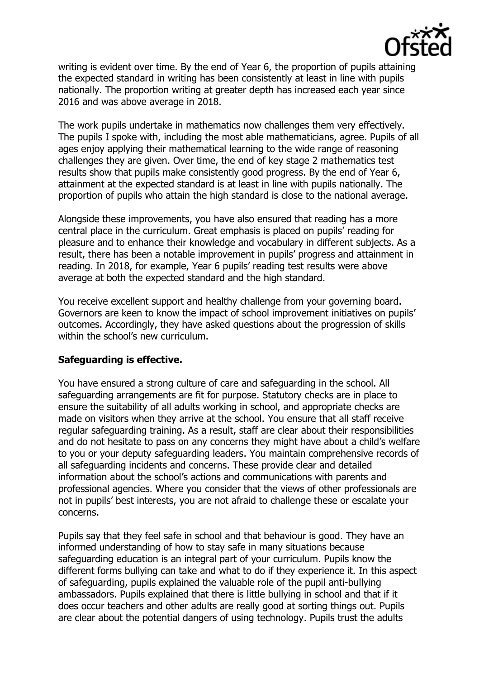

writing is evident over time. By the end of Year 6, the proportion of pupils attaining the expected standard in writing has been consistently at least in line with pupils nationally. The proportion writing at greater depth has increased each year since 2016 and was above average in 2018.

The work pupils undertake in mathematics now challenges them very effectively. The pupils I spoke with, including the most able mathematicians, agree. Pupils of all ages enjoy applying their mathematical learning to the wide range of reasoning challenges they are given. Over time, the end of key stage 2 mathematics test results show that pupils make consistently good progress. By the end of Year 6, attainment at the expected standard is at least in line with pupils nationally. The proportion of pupils who attain the high standard is close to the national average.

Alongside these improvements, you have also ensured that reading has a more central place in the curriculum. Great emphasis is placed on pupils' reading for pleasure and to enhance their knowledge and vocabulary in different subjects. As a result, there has been a notable improvement in pupils' progress and attainment in reading. In 2018, for example, Year 6 pupils' reading test results were above average at both the expected standard and the high standard.

You receive excellent support and healthy challenge from your governing board. Governors are keen to know the impact of school improvement initiatives on pupils' outcomes. Accordingly, they have asked questions about the progression of skills within the school's new curriculum.

### **Safeguarding is effective.**

You have ensured a strong culture of care and safeguarding in the school. All safeguarding arrangements are fit for purpose. Statutory checks are in place to ensure the suitability of all adults working in school, and appropriate checks are made on visitors when they arrive at the school. You ensure that all staff receive regular safeguarding training. As a result, staff are clear about their responsibilities and do not hesitate to pass on any concerns they might have about a child's welfare to you or your deputy safeguarding leaders. You maintain comprehensive records of all safeguarding incidents and concerns. These provide clear and detailed information about the school's actions and communications with parents and professional agencies. Where you consider that the views of other professionals are not in pupils' best interests, you are not afraid to challenge these or escalate your concerns.

Pupils say that they feel safe in school and that behaviour is good. They have an informed understanding of how to stay safe in many situations because safeguarding education is an integral part of your curriculum. Pupils know the different forms bullying can take and what to do if they experience it. In this aspect of safeguarding, pupils explained the valuable role of the pupil anti-bullying ambassadors. Pupils explained that there is little bullying in school and that if it does occur teachers and other adults are really good at sorting things out. Pupils are clear about the potential dangers of using technology. Pupils trust the adults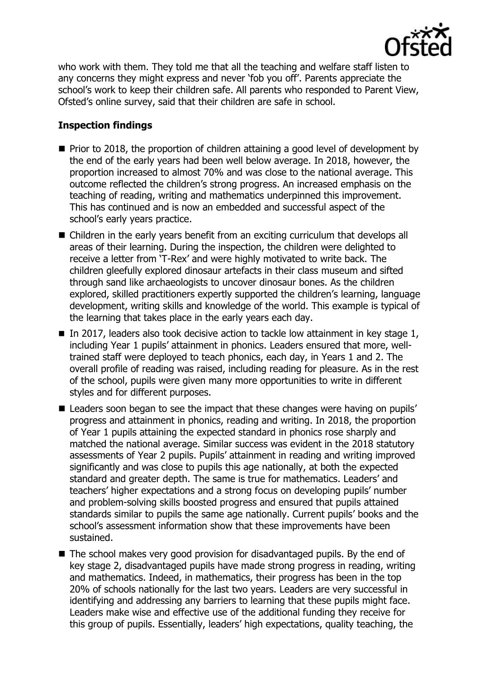

who work with them. They told me that all the teaching and welfare staff listen to any concerns they might express and never 'fob you off'. Parents appreciate the school's work to keep their children safe. All parents who responded to Parent View, Ofsted's online survey, said that their children are safe in school.

# **Inspection findings**

- Prior to 2018, the proportion of children attaining a good level of development by the end of the early years had been well below average. In 2018, however, the proportion increased to almost 70% and was close to the national average. This outcome reflected the children's strong progress. An increased emphasis on the teaching of reading, writing and mathematics underpinned this improvement. This has continued and is now an embedded and successful aspect of the school's early years practice.
- Children in the early years benefit from an exciting curriculum that develops all areas of their learning. During the inspection, the children were delighted to receive a letter from 'T-Rex' and were highly motivated to write back. The children gleefully explored dinosaur artefacts in their class museum and sifted through sand like archaeologists to uncover dinosaur bones. As the children explored, skilled practitioners expertly supported the children's learning, language development, writing skills and knowledge of the world. This example is typical of the learning that takes place in the early years each day.
- In 2017, leaders also took decisive action to tackle low attainment in key stage 1, including Year 1 pupils' attainment in phonics. Leaders ensured that more, welltrained staff were deployed to teach phonics, each day, in Years 1 and 2. The overall profile of reading was raised, including reading for pleasure. As in the rest of the school, pupils were given many more opportunities to write in different styles and for different purposes.
- Leaders soon began to see the impact that these changes were having on pupils' progress and attainment in phonics, reading and writing. In 2018, the proportion of Year 1 pupils attaining the expected standard in phonics rose sharply and matched the national average. Similar success was evident in the 2018 statutory assessments of Year 2 pupils. Pupils' attainment in reading and writing improved significantly and was close to pupils this age nationally, at both the expected standard and greater depth. The same is true for mathematics. Leaders' and teachers' higher expectations and a strong focus on developing pupils' number and problem-solving skills boosted progress and ensured that pupils attained standards similar to pupils the same age nationally. Current pupils' books and the school's assessment information show that these improvements have been sustained.
- The school makes very good provision for disadvantaged pupils. By the end of key stage 2, disadvantaged pupils have made strong progress in reading, writing and mathematics. Indeed, in mathematics, their progress has been in the top 20% of schools nationally for the last two years. Leaders are very successful in identifying and addressing any barriers to learning that these pupils might face. Leaders make wise and effective use of the additional funding they receive for this group of pupils. Essentially, leaders' high expectations, quality teaching, the